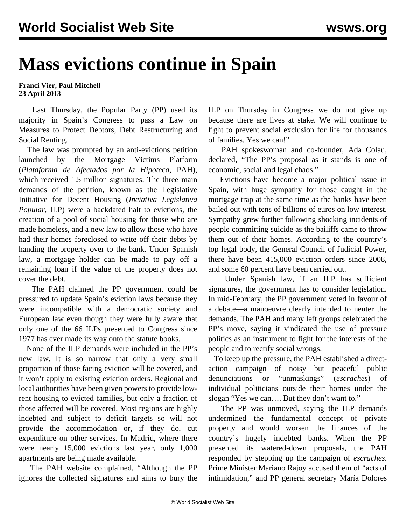## **Mass evictions continue in Spain**

## **Franci Vier, Paul Mitchell 23 April 2013**

 Last Thursday, the Popular Party (PP) used its majority in Spain's Congress to pass a Law on Measures to Protect Debtors, Debt Restructuring and Social Renting.

 The law was prompted by an anti-evictions petition launched by the Mortgage Victims Platform (*Plataforma de Afectados por la Hipoteca*, PAH), which received 1.5 million signatures. The three main demands of the petition, known as the Legislative Initiative for Decent Housing (*Inciativa Legislativa Popular*, ILP) were a backdated halt to evictions, the creation of a pool of social housing for those who are made homeless, and a new law to allow those who have had their homes foreclosed to write off their debts by handing the property over to the bank. Under Spanish law, a mortgage holder can be made to pay off a remaining loan if the value of the property does not cover the debt.

 The PAH claimed the PP government could be pressured to update Spain's eviction laws because they were incompatible with a democratic society and European law even though they were fully aware that only one of the 66 ILPs presented to Congress since 1977 has ever made its way onto the statute books.

 None of the ILP demands were included in the PP's new law. It is so narrow that only a very small proportion of those facing eviction will be covered, and it won't apply to existing eviction orders. Regional and local authorities have been given powers to provide lowrent housing to evicted families, but only a fraction of those affected will be covered. Most regions are highly indebted and subject to deficit targets so will not provide the accommodation or, if they do, cut expenditure on other services. In Madrid, where there were nearly 15,000 evictions last year, only 1,000 apartments are being made available.

 The PAH website complained, "Although the PP ignores the collected signatures and aims to bury the ILP on Thursday in Congress we do not give up because there are lives at stake. We will continue to fight to prevent social exclusion for life for thousands of families. Yes we can!"

 PAH spokeswoman and co-founder, Ada Colau, declared, "The PP's proposal as it stands is one of economic, social and legal chaos."

 Evictions have become a major political issue in Spain, with huge sympathy for those caught in the mortgage trap at the same time as the banks have been bailed out with tens of billions of euros on low interest. Sympathy grew further following shocking incidents of people committing suicide as the bailiffs came to throw them out of their homes. According to the country's top legal body, the General Council of Judicial Power, there have been 415,000 eviction orders since 2008, and some 60 percent have been carried out.

 Under Spanish law, if an ILP has sufficient signatures, the government has to consider legislation. In mid-February, the PP government voted in favour of a debate—a manoeuvre clearly intended to neuter the demands. The PAH and many left groups celebrated the PP's move, saying it vindicated the use of pressure politics as an instrument to fight for the interests of the people and to rectify social wrongs.

 To keep up the pressure, the PAH established a directaction campaign of noisy but peaceful public denunciations or "unmaskings" (*escraches*) of individual politicians outside their homes under the slogan "Yes we can…. But they don't want to."

 The PP was unmoved, saying the ILP demands undermined the fundamental concept of private property and would worsen the finances of the country's hugely indebted banks. When the PP presented its watered-down proposals, the PAH responded by stepping up the campaign of *escraches*. Prime Minister Mariano Rajoy accused them of "acts of intimidation," and PP general secretary María Dolores